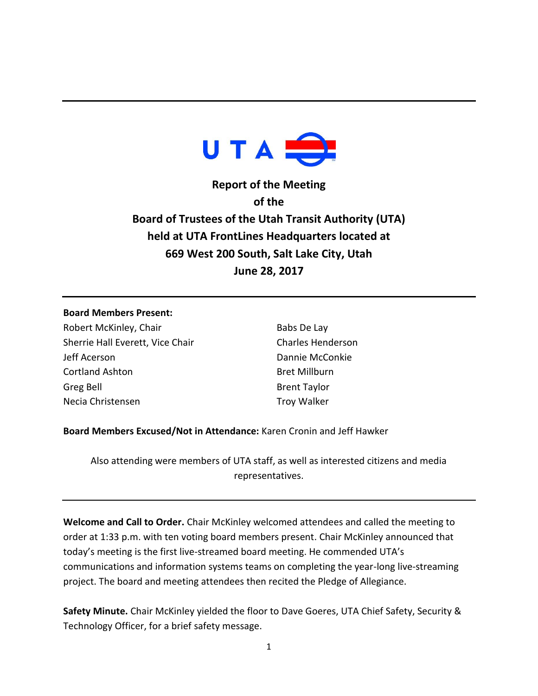

**Report of the Meeting of the Board of Trustees of the Utah Transit Authority (UTA) held at UTA FrontLines Headquarters located at 669 West 200 South, Salt Lake City, Utah June 28, 2017**

## **Board Members Present:**

Robert McKinley, Chair Sherrie Hall Everett, Vice Chair Jeff Acerson Cortland Ashton Greg Bell Necia Christensen

Babs De Lay Charles Henderson Dannie McConkie Bret Millburn Brent Taylor Troy Walker

**Board Members Excused/Not in Attendance:** Karen Cronin and Jeff Hawker

Also attending were members of UTA staff, as well as interested citizens and media representatives.

**Welcome and Call to Order.** Chair McKinley welcomed attendees and called the meeting to order at 1:33 p.m. with ten voting board members present. Chair McKinley announced that today's meeting is the first live-streamed board meeting. He commended UTA's communications and information systems teams on completing the year-long live-streaming project. The board and meeting attendees then recited the Pledge of Allegiance.

**Safety Minute.** Chair McKinley yielded the floor to Dave Goeres, UTA Chief Safety, Security & Technology Officer, for a brief safety message.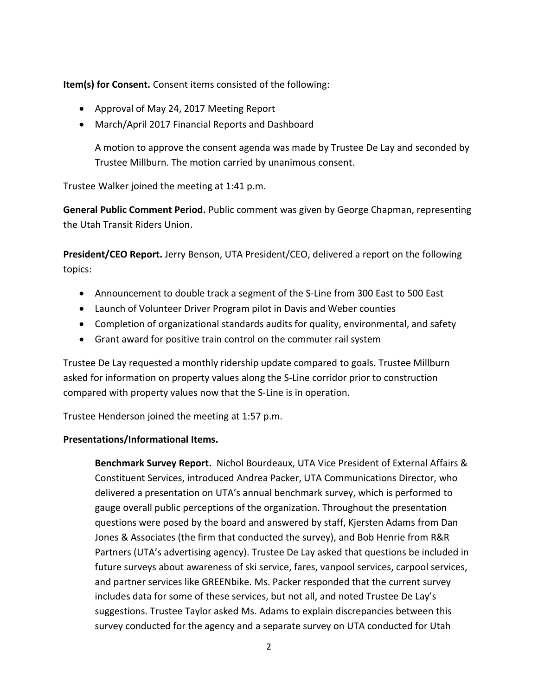**Item(s) for Consent.** Consent items consisted of the following:

- Approval of May 24, 2017 Meeting Report
- March/April 2017 Financial Reports and Dashboard

A motion to approve the consent agenda was made by Trustee De Lay and seconded by Trustee Millburn. The motion carried by unanimous consent.

Trustee Walker joined the meeting at 1:41 p.m.

**General Public Comment Period.** Public comment was given by George Chapman, representing the Utah Transit Riders Union.

**President/CEO Report.** Jerry Benson, UTA President/CEO, delivered a report on the following topics:

- Announcement to double track a segment of the S-Line from 300 East to 500 East
- Launch of Volunteer Driver Program pilot in Davis and Weber counties
- Completion of organizational standards audits for quality, environmental, and safety
- Grant award for positive train control on the commuter rail system

Trustee De Lay requested a monthly ridership update compared to goals. Trustee Millburn asked for information on property values along the S-Line corridor prior to construction compared with property values now that the S-Line is in operation.

Trustee Henderson joined the meeting at 1:57 p.m.

## **Presentations/Informational Items.**

**Benchmark Survey Report.** Nichol Bourdeaux, UTA Vice President of External Affairs & Constituent Services, introduced Andrea Packer, UTA Communications Director, who delivered a presentation on UTA's annual benchmark survey, which is performed to gauge overall public perceptions of the organization. Throughout the presentation questions were posed by the board and answered by staff, Kjersten Adams from Dan Jones & Associates (the firm that conducted the survey), and Bob Henrie from R&R Partners (UTA's advertising agency). Trustee De Lay asked that questions be included in future surveys about awareness of ski service, fares, vanpool services, carpool services, and partner services like GREENbike. Ms. Packer responded that the current survey includes data for some of these services, but not all, and noted Trustee De Lay's suggestions. Trustee Taylor asked Ms. Adams to explain discrepancies between this survey conducted for the agency and a separate survey on UTA conducted for Utah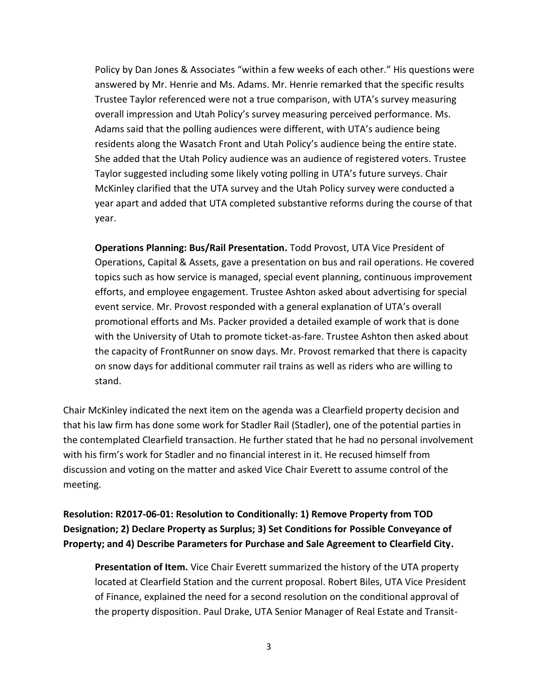Policy by Dan Jones & Associates "within a few weeks of each other." His questions were answered by Mr. Henrie and Ms. Adams. Mr. Henrie remarked that the specific results Trustee Taylor referenced were not a true comparison, with UTA's survey measuring overall impression and Utah Policy's survey measuring perceived performance. Ms. Adams said that the polling audiences were different, with UTA's audience being residents along the Wasatch Front and Utah Policy's audience being the entire state. She added that the Utah Policy audience was an audience of registered voters. Trustee Taylor suggested including some likely voting polling in UTA's future surveys. Chair McKinley clarified that the UTA survey and the Utah Policy survey were conducted a year apart and added that UTA completed substantive reforms during the course of that year.

**Operations Planning: Bus/Rail Presentation.** Todd Provost, UTA Vice President of Operations, Capital & Assets, gave a presentation on bus and rail operations. He covered topics such as how service is managed, special event planning, continuous improvement efforts, and employee engagement. Trustee Ashton asked about advertising for special event service. Mr. Provost responded with a general explanation of UTA's overall promotional efforts and Ms. Packer provided a detailed example of work that is done with the University of Utah to promote ticket-as-fare. Trustee Ashton then asked about the capacity of FrontRunner on snow days. Mr. Provost remarked that there is capacity on snow days for additional commuter rail trains as well as riders who are willing to stand.

Chair McKinley indicated the next item on the agenda was a Clearfield property decision and that his law firm has done some work for Stadler Rail (Stadler), one of the potential parties in the contemplated Clearfield transaction. He further stated that he had no personal involvement with his firm's work for Stadler and no financial interest in it. He recused himself from discussion and voting on the matter and asked Vice Chair Everett to assume control of the meeting.

**Resolution: R2017-06-01: Resolution to Conditionally: 1) Remove Property from TOD Designation; 2) Declare Property as Surplus; 3) Set Conditions for Possible Conveyance of Property; and 4) Describe Parameters for Purchase and Sale Agreement to Clearfield City.**

**Presentation of Item.** Vice Chair Everett summarized the history of the UTA property located at Clearfield Station and the current proposal. Robert Biles, UTA Vice President of Finance, explained the need for a second resolution on the conditional approval of the property disposition. Paul Drake, UTA Senior Manager of Real Estate and Transit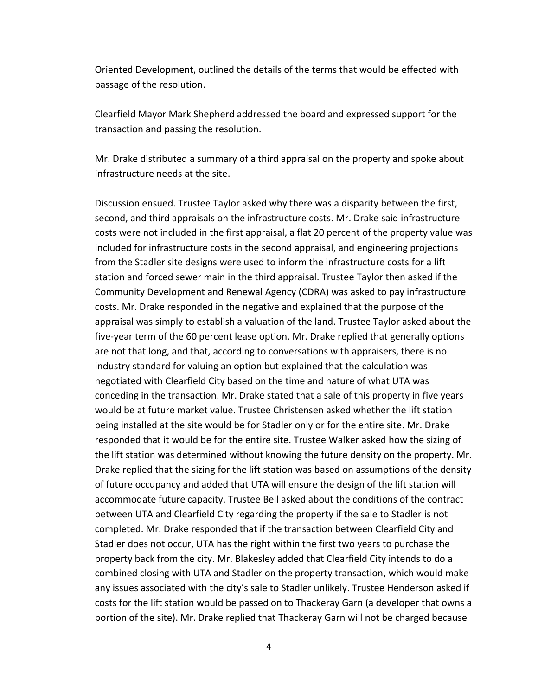Oriented Development, outlined the details of the terms that would be effected with passage of the resolution.

Clearfield Mayor Mark Shepherd addressed the board and expressed support for the transaction and passing the resolution.

Mr. Drake distributed a summary of a third appraisal on the property and spoke about infrastructure needs at the site.

Discussion ensued. Trustee Taylor asked why there was a disparity between the first, second, and third appraisals on the infrastructure costs. Mr. Drake said infrastructure costs were not included in the first appraisal, a flat 20 percent of the property value was included for infrastructure costs in the second appraisal, and engineering projections from the Stadler site designs were used to inform the infrastructure costs for a lift station and forced sewer main in the third appraisal. Trustee Taylor then asked if the Community Development and Renewal Agency (CDRA) was asked to pay infrastructure costs. Mr. Drake responded in the negative and explained that the purpose of the appraisal was simply to establish a valuation of the land. Trustee Taylor asked about the five-year term of the 60 percent lease option. Mr. Drake replied that generally options are not that long, and that, according to conversations with appraisers, there is no industry standard for valuing an option but explained that the calculation was negotiated with Clearfield City based on the time and nature of what UTA was conceding in the transaction. Mr. Drake stated that a sale of this property in five years would be at future market value. Trustee Christensen asked whether the lift station being installed at the site would be for Stadler only or for the entire site. Mr. Drake responded that it would be for the entire site. Trustee Walker asked how the sizing of the lift station was determined without knowing the future density on the property. Mr. Drake replied that the sizing for the lift station was based on assumptions of the density of future occupancy and added that UTA will ensure the design of the lift station will accommodate future capacity. Trustee Bell asked about the conditions of the contract between UTA and Clearfield City regarding the property if the sale to Stadler is not completed. Mr. Drake responded that if the transaction between Clearfield City and Stadler does not occur, UTA has the right within the first two years to purchase the property back from the city. Mr. Blakesley added that Clearfield City intends to do a combined closing with UTA and Stadler on the property transaction, which would make any issues associated with the city's sale to Stadler unlikely. Trustee Henderson asked if costs for the lift station would be passed on to Thackeray Garn (a developer that owns a portion of the site). Mr. Drake replied that Thackeray Garn will not be charged because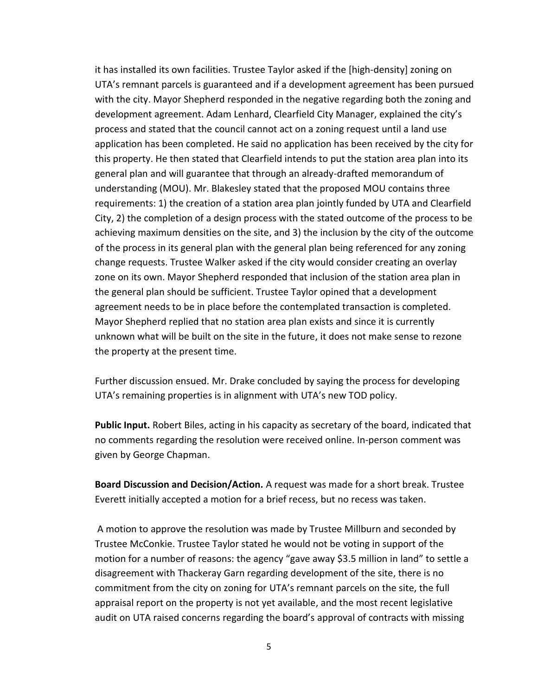it has installed its own facilities. Trustee Taylor asked if the [high-density] zoning on UTA's remnant parcels is guaranteed and if a development agreement has been pursued with the city. Mayor Shepherd responded in the negative regarding both the zoning and development agreement. Adam Lenhard, Clearfield City Manager, explained the city's process and stated that the council cannot act on a zoning request until a land use application has been completed. He said no application has been received by the city for this property. He then stated that Clearfield intends to put the station area plan into its general plan and will guarantee that through an already-drafted memorandum of understanding (MOU). Mr. Blakesley stated that the proposed MOU contains three requirements: 1) the creation of a station area plan jointly funded by UTA and Clearfield City, 2) the completion of a design process with the stated outcome of the process to be achieving maximum densities on the site, and 3) the inclusion by the city of the outcome of the process in its general plan with the general plan being referenced for any zoning change requests. Trustee Walker asked if the city would consider creating an overlay zone on its own. Mayor Shepherd responded that inclusion of the station area plan in the general plan should be sufficient. Trustee Taylor opined that a development agreement needs to be in place before the contemplated transaction is completed. Mayor Shepherd replied that no station area plan exists and since it is currently unknown what will be built on the site in the future, it does not make sense to rezone the property at the present time.

Further discussion ensued. Mr. Drake concluded by saying the process for developing UTA's remaining properties is in alignment with UTA's new TOD policy.

**Public Input.** Robert Biles, acting in his capacity as secretary of the board, indicated that no comments regarding the resolution were received online. In-person comment was given by George Chapman.

**Board Discussion and Decision/Action.** A request was made for a short break. Trustee Everett initially accepted a motion for a brief recess, but no recess was taken.

A motion to approve the resolution was made by Trustee Millburn and seconded by Trustee McConkie. Trustee Taylor stated he would not be voting in support of the motion for a number of reasons: the agency "gave away \$3.5 million in land" to settle a disagreement with Thackeray Garn regarding development of the site, there is no commitment from the city on zoning for UTA's remnant parcels on the site, the full appraisal report on the property is not yet available, and the most recent legislative audit on UTA raised concerns regarding the board's approval of contracts with missing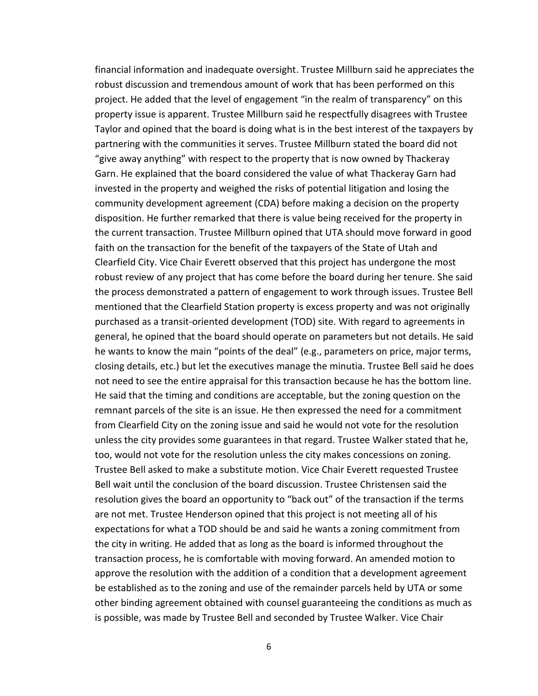financial information and inadequate oversight. Trustee Millburn said he appreciates the robust discussion and tremendous amount of work that has been performed on this project. He added that the level of engagement "in the realm of transparency" on this property issue is apparent. Trustee Millburn said he respectfully disagrees with Trustee Taylor and opined that the board is doing what is in the best interest of the taxpayers by partnering with the communities it serves. Trustee Millburn stated the board did not "give away anything" with respect to the property that is now owned by Thackeray Garn. He explained that the board considered the value of what Thackeray Garn had invested in the property and weighed the risks of potential litigation and losing the community development agreement (CDA) before making a decision on the property disposition. He further remarked that there is value being received for the property in the current transaction. Trustee Millburn opined that UTA should move forward in good faith on the transaction for the benefit of the taxpayers of the State of Utah and Clearfield City. Vice Chair Everett observed that this project has undergone the most robust review of any project that has come before the board during her tenure. She said the process demonstrated a pattern of engagement to work through issues. Trustee Bell mentioned that the Clearfield Station property is excess property and was not originally purchased as a transit-oriented development (TOD) site. With regard to agreements in general, he opined that the board should operate on parameters but not details. He said he wants to know the main "points of the deal" (e.g., parameters on price, major terms, closing details, etc.) but let the executives manage the minutia. Trustee Bell said he does not need to see the entire appraisal for this transaction because he has the bottom line. He said that the timing and conditions are acceptable, but the zoning question on the remnant parcels of the site is an issue. He then expressed the need for a commitment from Clearfield City on the zoning issue and said he would not vote for the resolution unless the city provides some guarantees in that regard. Trustee Walker stated that he, too, would not vote for the resolution unless the city makes concessions on zoning. Trustee Bell asked to make a substitute motion. Vice Chair Everett requested Trustee Bell wait until the conclusion of the board discussion. Trustee Christensen said the resolution gives the board an opportunity to "back out" of the transaction if the terms are not met. Trustee Henderson opined that this project is not meeting all of his expectations for what a TOD should be and said he wants a zoning commitment from the city in writing. He added that as long as the board is informed throughout the transaction process, he is comfortable with moving forward. An amended motion to approve the resolution with the addition of a condition that a development agreement be established as to the zoning and use of the remainder parcels held by UTA or some other binding agreement obtained with counsel guaranteeing the conditions as much as is possible, was made by Trustee Bell and seconded by Trustee Walker. Vice Chair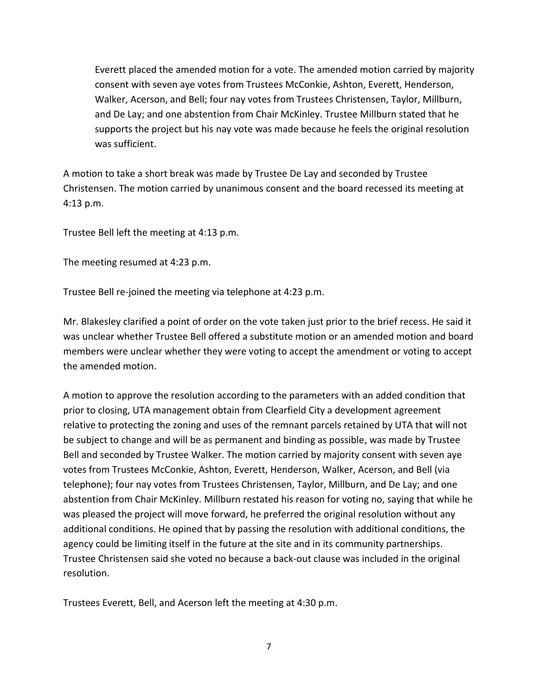Everett placed the amended motion for a vote. The amended motion carried by majority consent with seven aye votes from Trustees McConkie, Ashton, Everett, Henderson, Walker, Acerson, and Bell; four nay votes from Trustees Christensen, Taylor, Millburn, and De Lay; and one abstention from Chair McKinley. Trustee Millburn stated that he supports the project but his nay vote was made because he feels the original resolution was sufficient.

A motion to take a short break was made by Trustee De Lay and seconded by Trustee Christensen. The motion carried by unanimous consent and the board recessed its meeting at 4:13 p.m.

Trustee Bell left the meeting at 4:13 p.m.

The meeting resumed at 4:23 p.m.

Trustee Bell re-joined the meeting via telephone at 4:23 p.m.

Mr. Blakesley clarified a point of order on the vote taken just prior to the brief recess. He said it was unclear whether Trustee Bell offered a substitute motion or an amended motion and board members were unclear whether they were voting to accept the amendment or voting to accept the amended motion.

A motion to approve the resolution according to the parameters with an added condition that prior to closing, UTA management obtain from Clearfield City a development agreement relative to protecting the zoning and uses of the remnant parcels retained by UTA that will not be subject to change and will be as permanent and binding as possible, was made by Trustee Bell and seconded by Trustee Walker. The motion carried by majority consent with seven aye votes from Trustees McConkie, Ashton, Everett, Henderson, Walker, Acerson, and Bell (via telephone); four nay votes from Trustees Christensen, Taylor, Millburn, and De Lay; and one abstention from Chair McKinley. Millburn restated his reason for voting no, saying that while he was pleased the project will move forward, he preferred the original resolution without any additional conditions. He opined that by passing the resolution with additional conditions, the agency could be limiting itself in the future at the site and in its community partnerships. Trustee Christensen said she voted no because a back-out clause was included in the original resolution.

Trustees Everett, Bell, and Acerson left the meeting at 4:30 p.m.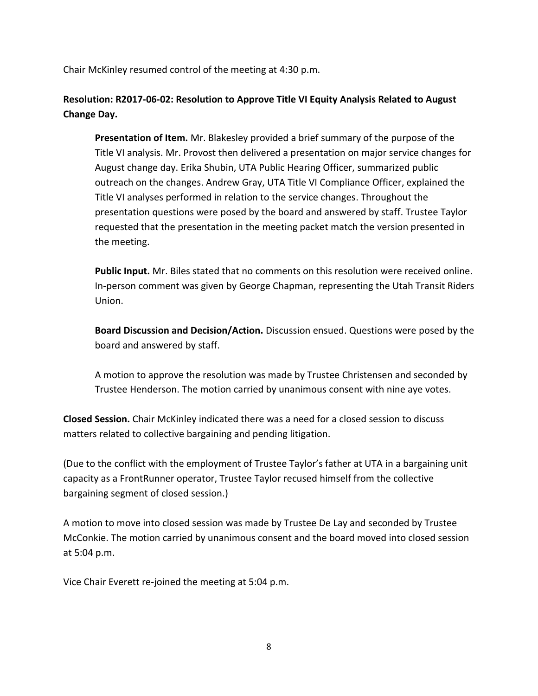Chair McKinley resumed control of the meeting at 4:30 p.m.

**Resolution: R2017-06-02: Resolution to Approve Title VI Equity Analysis Related to August Change Day.**

**Presentation of Item.** Mr. Blakesley provided a brief summary of the purpose of the Title VI analysis. Mr. Provost then delivered a presentation on major service changes for August change day. Erika Shubin, UTA Public Hearing Officer, summarized public outreach on the changes. Andrew Gray, UTA Title VI Compliance Officer, explained the Title VI analyses performed in relation to the service changes. Throughout the presentation questions were posed by the board and answered by staff. Trustee Taylor requested that the presentation in the meeting packet match the version presented in the meeting.

**Public Input.** Mr. Biles stated that no comments on this resolution were received online. In-person comment was given by George Chapman, representing the Utah Transit Riders Union.

**Board Discussion and Decision/Action.** Discussion ensued. Questions were posed by the board and answered by staff.

A motion to approve the resolution was made by Trustee Christensen and seconded by Trustee Henderson. The motion carried by unanimous consent with nine aye votes.

**Closed Session.** Chair McKinley indicated there was a need for a closed session to discuss matters related to collective bargaining and pending litigation.

(Due to the conflict with the employment of Trustee Taylor's father at UTA in a bargaining unit capacity as a FrontRunner operator, Trustee Taylor recused himself from the collective bargaining segment of closed session.)

A motion to move into closed session was made by Trustee De Lay and seconded by Trustee McConkie. The motion carried by unanimous consent and the board moved into closed session at 5:04 p.m.

Vice Chair Everett re-joined the meeting at 5:04 p.m.